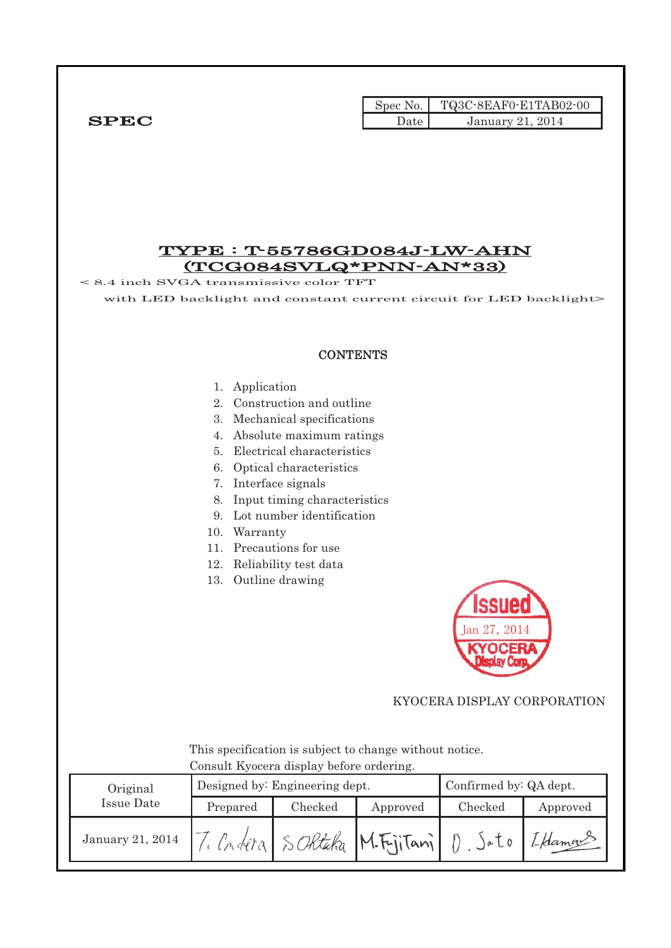|             |        | Spec No. TQ3C-8EAF0-E1TAB02-00 |
|-------------|--------|--------------------------------|
| <b>SPEC</b> | Date ′ | January 21, 2014               |

### TYPE : T-55786GD084J-LW-AHN (TCG084SVLQ\*PNN-AN\*33)

< 8.4 inch SVGA transmissive color TFT

with LED backlight and constant current circuit for LED backlight>

### **CONTENTS**

#### 1. Application

- 2. Construction and outline
- 3. Mechanical specifications
- 4. Absolute maximum ratings
- 5. Electrical characteristics
- 6. Optical characteristics
- 7. Interface signals
- 8. Input timing characteristics
- 9. Lot number identification
- 10. Warranty
- 11. Precautions for use
- 12. Reliability test data
- 13. Outline drawing



### KYOCERA DISPLAY CORPORATION

 This specification is subject to change without notice. Consult Kyocera display before ordering.

| Original         |          | Designed by: Engineering dept. | Confirmed by: QA dept. |         |          |
|------------------|----------|--------------------------------|------------------------|---------|----------|
| Issue Date       | Prepared | Checked                        | Approved               | Checked | Approved |
| January 21, 2014 |          | Condera SORtaka M.FriiTani     |                        | eU      | Ledaman  |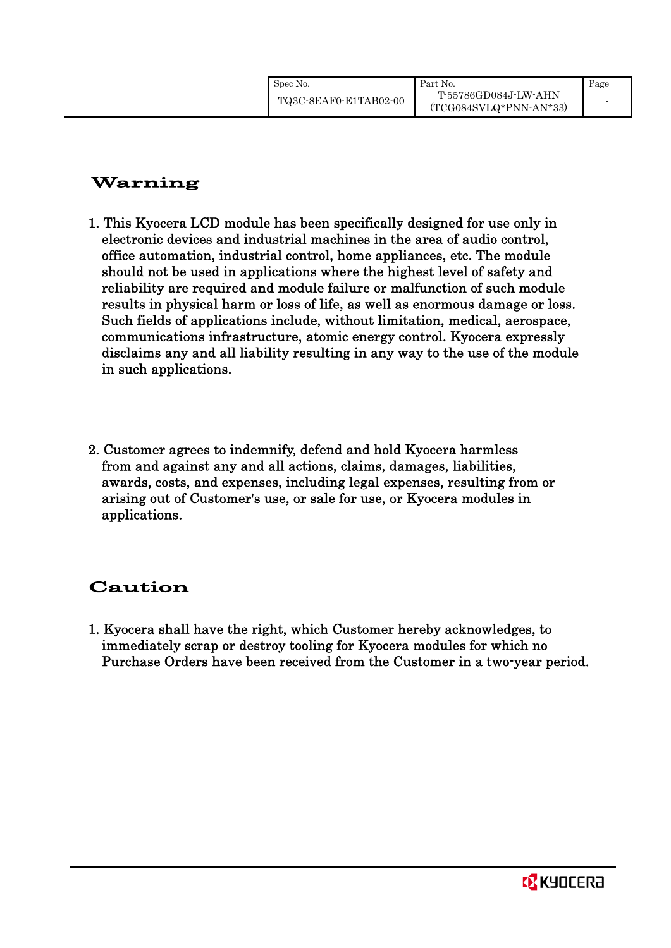### Warning

- 1. This Kyocera LCD module has been specifically designed for use only in electronic devices and industrial machines in the area of audio control, office automation, industrial control, home appliances, etc. The module should not be used in applications where the highest level of safety and reliability are required and module failure or malfunction of such module results in physical harm or loss of life, as well as enormous damage or loss. Such fields of applications include, without limitation, medical, aerospace, communications infrastructure, atomic energy control. Kyocera expressly disclaims any and all liability resulting in any way to the use of the module in such applications.
- 2. Customer agrees to indemnify, defend and hold Kyocera harmless from and against any and all actions, claims, damages, liabilities, awards, costs, and expenses, including legal expenses, resulting from or arising out of Customer's use, or sale for use, or Kyocera modules in applications.

### Caution

1. Kyocera shall have the right, which Customer hereby acknowledges, to immediately scrap or destroy tooling for Kyocera modules for which no Purchase Orders have been received from the Customer in a two-year period.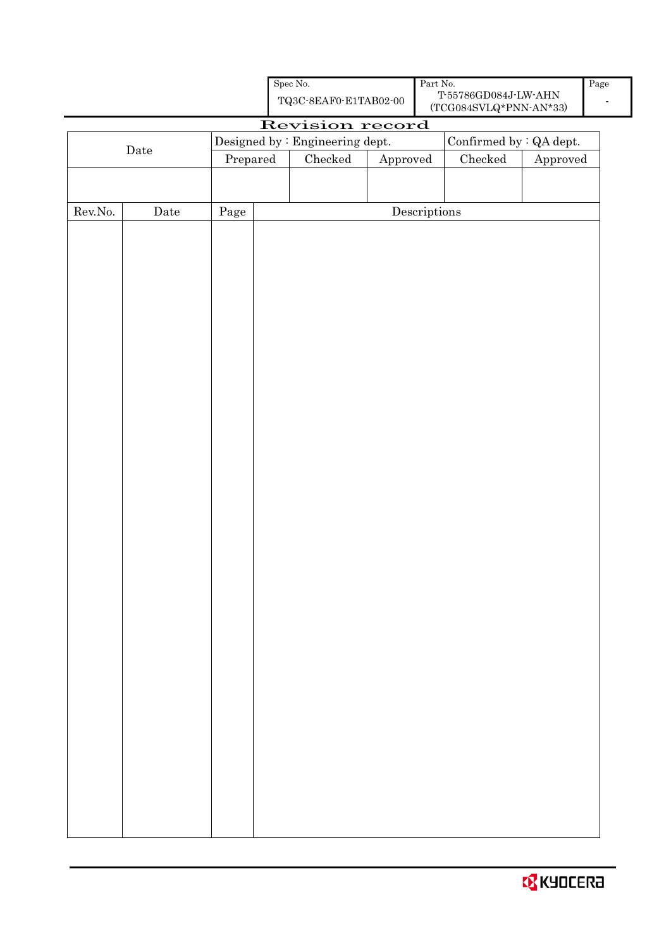|         |             |            | Revision record                 |                                      | $\sim$ $\sim$ $\sim$ $\sim$ $\sim$ $\sim$ $\sim$ |                        |
|---------|-------------|------------|---------------------------------|--------------------------------------|--------------------------------------------------|------------------------|
|         |             |            | Designed by : Engineering dept. |                                      | Confirmed by : QA dept.                          |                        |
|         | $\rm{Date}$ | Prepared   | $\rm Checked$                   | ${\Large\bf Approved}$               | ${\it Checked}$                                  | ${\Large\bf Approved}$ |
|         |             |            |                                 |                                      |                                                  |                        |
|         |             |            |                                 |                                      |                                                  |                        |
| Rev.No. | Date        | $\rm Page$ |                                 | $\label{eq:2} \textbf{Descriptions}$ |                                                  |                        |
|         |             |            |                                 |                                      |                                                  |                        |
|         |             |            |                                 |                                      |                                                  |                        |
|         |             |            |                                 |                                      |                                                  |                        |
|         |             |            |                                 |                                      |                                                  |                        |
|         |             |            |                                 |                                      |                                                  |                        |
|         |             |            |                                 |                                      |                                                  |                        |
|         |             |            |                                 |                                      |                                                  |                        |
|         |             |            |                                 |                                      |                                                  |                        |
|         |             |            |                                 |                                      |                                                  |                        |
|         |             |            |                                 |                                      |                                                  |                        |
|         |             |            |                                 |                                      |                                                  |                        |
|         |             |            |                                 |                                      |                                                  |                        |
|         |             |            |                                 |                                      |                                                  |                        |
|         |             |            |                                 |                                      |                                                  |                        |
|         |             |            |                                 |                                      |                                                  |                        |
|         |             |            |                                 |                                      |                                                  |                        |
|         |             |            |                                 |                                      |                                                  |                        |
|         |             |            |                                 |                                      |                                                  |                        |
|         |             |            |                                 |                                      |                                                  |                        |
|         |             |            |                                 |                                      |                                                  |                        |
|         |             |            |                                 |                                      |                                                  |                        |
|         |             |            |                                 |                                      |                                                  |                        |
|         |             |            |                                 |                                      |                                                  |                        |
|         |             |            |                                 |                                      |                                                  |                        |
|         |             |            |                                 |                                      |                                                  |                        |
|         |             |            |                                 |                                      |                                                  |                        |
|         |             |            |                                 |                                      |                                                  |                        |
|         |             |            |                                 |                                      |                                                  |                        |
|         |             |            |                                 |                                      |                                                  |                        |
|         |             |            |                                 |                                      |                                                  |                        |
|         |             |            |                                 |                                      |                                                  |                        |
|         |             |            |                                 |                                      |                                                  |                        |
|         |             |            |                                 |                                      |                                                  |                        |
|         |             |            |                                 |                                      |                                                  |                        |
|         |             |            |                                 |                                      |                                                  |                        |
|         |             |            |                                 |                                      |                                                  |                        |

Spec No.

TQ3C-8EAF0-E1TAB02-00

Part No.

T-55786GD084J-LW-AHN (TCG084SVLQ\*PNN-AN\*33) Page -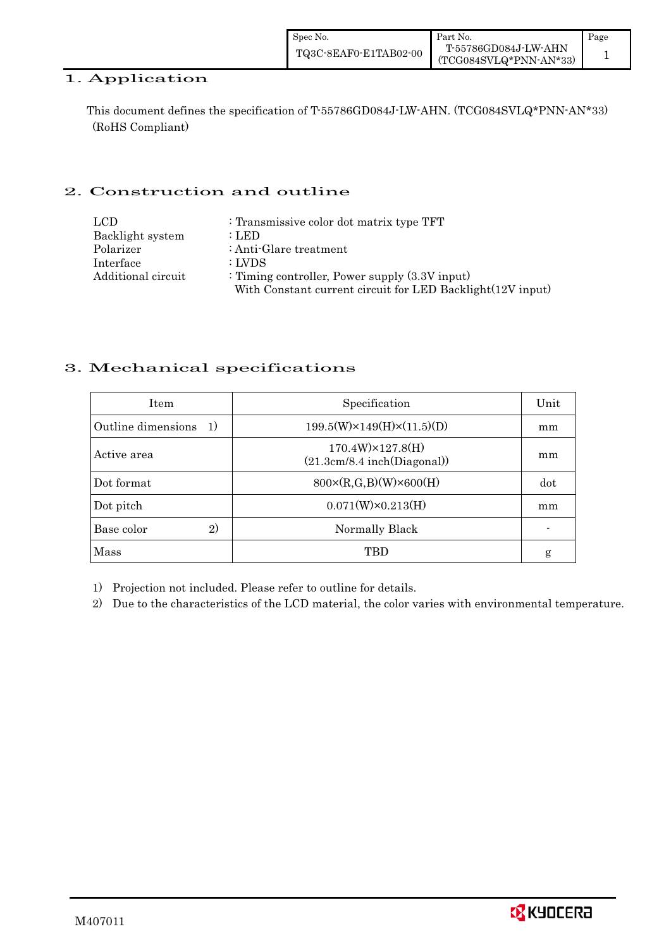| Spec No.              | Part No.                                       | Page |
|-----------------------|------------------------------------------------|------|
| TQ3C-8EAF0-E1TAB02-00 | T-55786GD084J-LW-AHN<br>(TCG084SVLQ*PNN-AN*33) |      |

### 1. Application

This document defines the specification of T-55786GD084J-LW-AHN. (TCG084SVLQ\*PNN-AN\*33) (RoHS Compliant)

### 2. Construction and outline

| LCD                | : Transmissive color dot matrix type TFT                   |
|--------------------|------------------------------------------------------------|
| Backlight system   | : LED                                                      |
| Polarizer          | : Anti-Glare treatment                                     |
| Interface          | : LVDS                                                     |
| Additional circuit | : Timing controller, Power supply $(3.3V)$ input)          |
|                    | With Constant current circuit for LED Backlight(12V input) |

### 3. Mechanical specifications

| <b>Item</b>                        | Specification                                             | Unit |
|------------------------------------|-----------------------------------------------------------|------|
| Outline dimensions<br><sup>1</sup> | $199.5(W) \times 149(H) \times (11.5)(D)$                 | mm   |
| Active area                        | $170.4W$ $\times 127.8(H)$<br>(21.3cm/8.4 inch(Diagonal)) | mm   |
| Dot format                         | $800 \times (R, G, B)(W) \times 600(H)$                   | dot  |
| Dot pitch                          | $0.071(W)\times0.213(H)$                                  | mm   |
| $\mathfrak{D}$<br>Base color       | Normally Black                                            |      |
| Mass                               | TBD                                                       | g    |

1) Projection not included. Please refer to outline for details.

2) Due to the characteristics of the LCD material, the color varies with environmental temperature.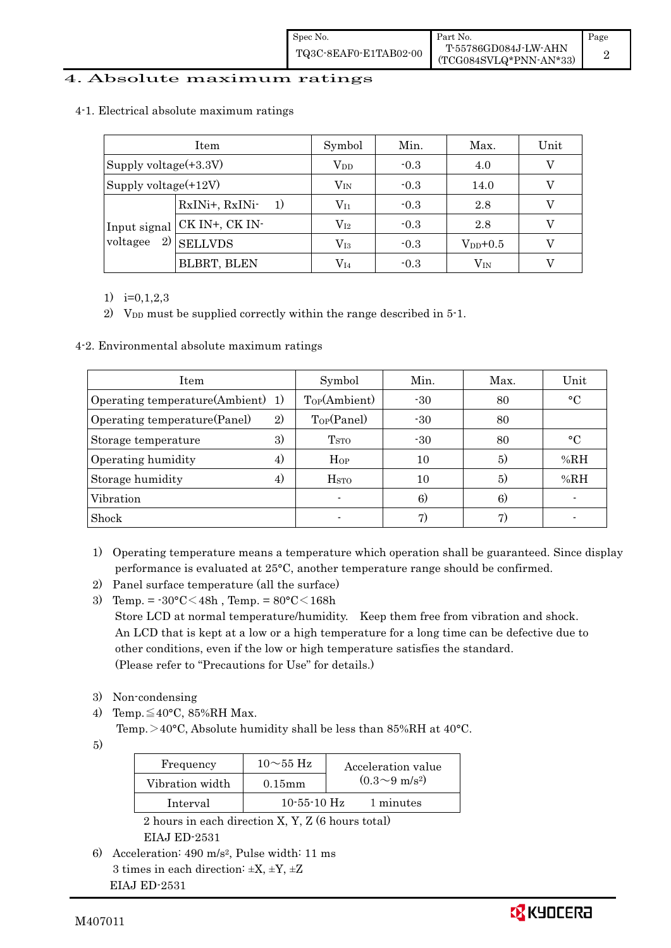| Spec No.              | ∎ Part No.                                     | Page |
|-----------------------|------------------------------------------------|------|
| TQ3C-8EAF0-E1TAB02-00 | T-55786GD084J-LW-AHN<br>(TCG084SVLQ*PNN-AN*33) |      |

### 4. Absolute maximum ratings

| Item                     |                             | Symbol       | Min.          | Max.         | Unit |
|--------------------------|-----------------------------|--------------|---------------|--------------|------|
| Supply voltage $(+3.3V)$ |                             | $\rm V_{DD}$ | $-0.3$<br>4.0 |              | V    |
| Supply voltage $(+12V)$  |                             | $\rm V_{IN}$ | $-0.3$        | 14.0         | V    |
|                          | RxINi+, RxINi-<br>1)        | $V_{I1}$     | $-0.3$        | 2.8          |      |
|                          | Input signal CK IN+, CK IN- | $\rm V_{I2}$ | $-0.3$        | 2.8          | V    |
| 2)<br>voltagee           | <b>SELLVDS</b>              | $\rm V_{I3}$ | $-0.3$        | $V_{DD}+0.5$ |      |
|                          | <b>BLBRT, BLEN</b>          | $\rm V_{I4}$ | $-0.3$        | $\rm V_{IN}$ |      |

#### 4-1.Electrical absolute maximum ratings

1)  $i=0,1,2,3$ 

2) V<sub>DD</sub> must be supplied correctly within the range described in  $5$ -1.

4-2. Environmental absolute maximum ratings

| Item                              |                   | Symbol                   | Min.  | Max. | Unit            |
|-----------------------------------|-------------------|--------------------------|-------|------|-----------------|
| Operating temperature(Ambient) 1) |                   | Top(Ambient)             | $-30$ | 80   | $\rm ^{\circ}C$ |
| Operating temperature (Panel)     | 2)                | Top(Panel)               | $-30$ | 80   |                 |
| Storage temperature               | 3)                | <b>T</b> <sub>STO</sub>  | $-30$ | 80   | $\rm ^{\circ}C$ |
| Operating humidity                | 4)                | Hop                      | 10    | 5)   | %RH             |
| Storage humidity                  | $\left( 4\right)$ | <b>H</b> <sub>STO</sub>  | 10    | 5)   | %RH             |
| Vibration                         |                   |                          | 6)    | 6)   |                 |
| Shock                             |                   | $\overline{\phantom{a}}$ | 7)    |      |                 |

- 1) Operating temperature means a temperature which operation shall be guaranteed. Since display performance is evaluated at 25°C, another temperature range should be confirmed.
- 2) Panel surface temperature (all the surface)<br>3) Temp. =  $-30^{\circ}$ C $\leq 48h$ , Temp. =  $80^{\circ}$ C $\leq 168h$
- $\sim$  Store LCD at normal temperature/humidity. Keep them free from vibration and shock. An LCD that is kept at a low or a high temperature for a long time can be defective due to other conditions, even if the low or high temperature satisfies the standard. (Please refer to "Precautions for Use" for details.)

-------------

- 3) Non-condensing
- 3) Non-condensing<br>4) Temp. $\leq$ 40°C, 85%RH Max.  $\frac{1}{2}$ 
	- Temp.  $>40^{\circ}$ C, Absolute humidity shall be less than 85%RH at 40 $^{\circ}$ C. -
- 5)-

| Frequency                                                           | $10\sim 55~\text{Hz}$ | Acceleration value         |  |  |  |
|---------------------------------------------------------------------|-----------------------|----------------------------|--|--|--|
| Vibration width                                                     | $0.15$ mm             | $(0.3{\sim}9~{\rm m/s^2})$ |  |  |  |
| Interval                                                            | $10 - 55 - 10$ Hz     | 1 minutes                  |  |  |  |
| $0.1, \ldots, 1, 1, 1, \ldots, 1, N$ V V $\alpha$ 1, $\ldots, 1, 1$ |                       |                            |  |  |  |

2 hours in each direction X, Y, Z (6 hours total)

EIAJ ED-2531

------------------6) Acceleration: 490 m/s2, Pulse width: 11 ms 3 times in each direction:  $\pm X$ ,  $\pm Y$ ,  $\pm Z$ EIAJ ED-2531

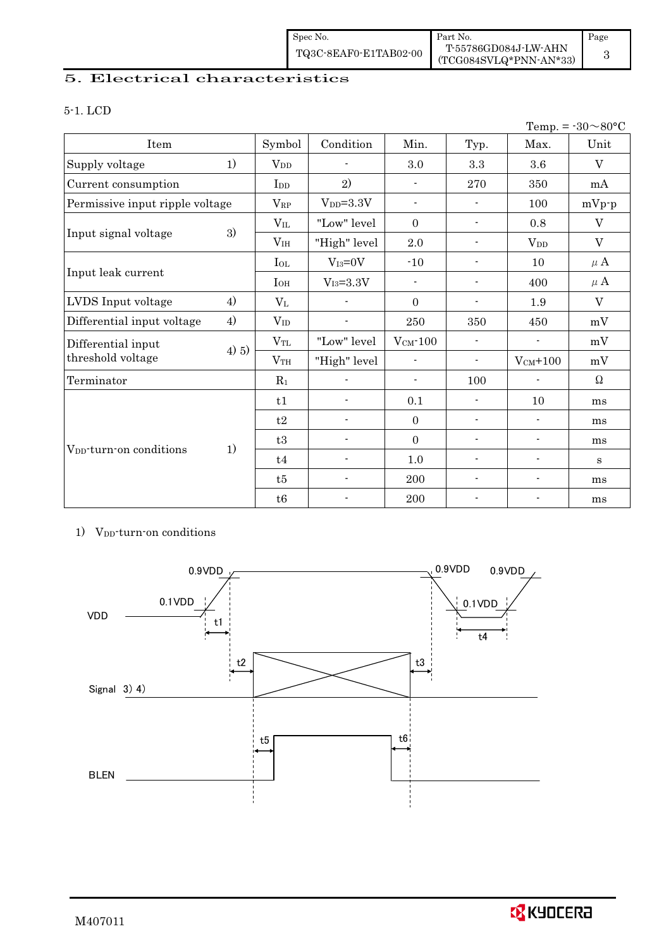| Spec No.              | Part No.                                         | Page |
|-----------------------|--------------------------------------------------|------|
| TQ3C-8EAF0-E1TAB02-00 | T-55786GD084J-LW-AHN<br>$(TCG084SVLQ*PNN-AN*33)$ |      |

### 5. Electrical characteristics

### 5-1. LCD

|                                     |       |                 |                          |                          |                          |                          | Temp. = $-30 \sim 80$ °C |
|-------------------------------------|-------|-----------------|--------------------------|--------------------------|--------------------------|--------------------------|--------------------------|
| Item                                |       | Symbol          | Condition                | Min.                     | Typ.                     | Max.                     | Unit                     |
| Supply voltage                      | 1)    | $V_{DD}$        | $\blacksquare$           | 3.0                      | $\!3.3$                  | 3.6                      | $\rm V$                  |
| Current consumption                 |       | I <sub>DD</sub> | 2)                       | $\overline{\phantom{a}}$ | 270                      | 350                      | mA                       |
| Permissive input ripple voltage     |       | $V_{RP}$        | $V_{DD}=3.3V$            | $\overline{\phantom{a}}$ |                          | 100                      | $mVp-p$                  |
|                                     |       | $V_{IL}$        | "Low" level              | $\mathbf{0}$             | $\overline{\phantom{a}}$ | 0.8                      | V                        |
| Input signal voltage                | 3)    | V <sub>IH</sub> | "High" level             | 2.0                      | $\overline{\phantom{a}}$ | $V_{DD}$                 | $\mathbf{V}$             |
|                                     |       | $I_{OL}$        | $V_{I3}=0V$              | $-10$                    | $\overline{\phantom{a}}$ | 10                       | $\mu$ A                  |
| Input leak current                  |       | $I_{OH}$        | $\rm V_{I3}\text{=}3.3V$ | $\overline{\phantom{a}}$ | $\overline{\phantom{a}}$ | 400                      | $\mu$ A                  |
| LVDS Input voltage                  | 4)    | $V_{L}$         |                          | $\Omega$                 | $\overline{\phantom{a}}$ | 1.9                      | $\rm V$                  |
| Differential input voltage          | 4)    | $V_{ID}$        |                          | 250                      | 350                      | 450                      | mV                       |
| Differential input                  |       | $\rm V_{TL}$    | "Low" level              | $V_{CM}$ -100            | $\overline{\phantom{a}}$ | $\overline{\phantom{a}}$ | mV                       |
| threshold voltage                   | 4) 5) | VTH             | "High" level             | $\overline{\phantom{a}}$ | $\overline{\phantom{a}}$ | $V_{CM}$ +100            | mV                       |
| Terminator                          |       | $R_1$           |                          | $\overline{\phantom{a}}$ | 100                      | $\overline{\phantom{a}}$ | $\Omega$                 |
|                                     |       | t1              | $\blacksquare$           | 0.1                      | $\frac{1}{2}$            | 10                       | ms                       |
|                                     |       | t2              | $\blacksquare$           | $\overline{0}$           | $\overline{\phantom{a}}$ | $\overline{\phantom{a}}$ | ms                       |
|                                     |       | t3              |                          | $\mathbf{0}$             | $\overline{\phantom{a}}$ | $\overline{\phantom{a}}$ | ms                       |
| V <sub>pp</sub> -turn-on conditions | 1)    | t4              | $\overline{\phantom{0}}$ | 1.0                      | $\overline{\phantom{a}}$ | $\overline{\phantom{a}}$ | S                        |
|                                     |       | t5              |                          | 200                      |                          | $\overline{\phantom{a}}$ | ms                       |
|                                     |       | t6              |                          | 200                      |                          |                          | ms                       |

#### 1) V<sub>DD</sub>-turn-on conditions  $\overline{a}$



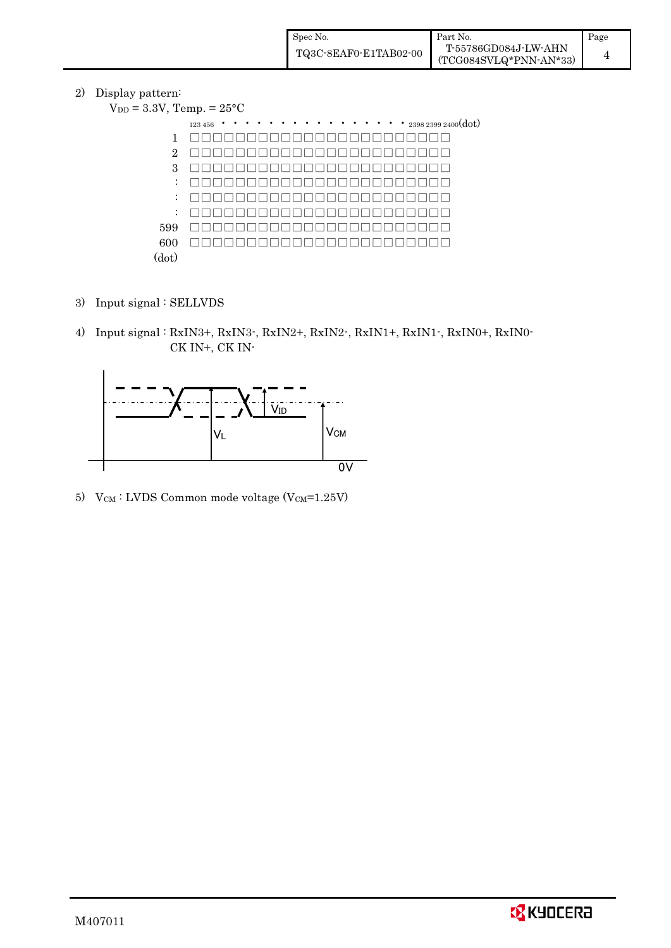| Spec No.              | Part No.                                         | Page |
|-----------------------|--------------------------------------------------|------|
| TQ3C-8EAF0-E1TAB02-00 | T-55786GD084J-LW-AHN<br>$(TCG084SVLQ*PNN-AN*33)$ |      |

### 2) Display pattern:

| spiay patterii.                          |                                                                           |
|------------------------------------------|---------------------------------------------------------------------------|
| $V_{DD} = 3.3V$ , Temp. = $25^{\circ}$ C |                                                                           |
|                                          | $\cdots$ $\cdots$ $\cdots$ $_{2398\ 2399\ 2400}(\mathrm{dot})$<br>123 456 |
|                                          |                                                                           |
| $\overline{2}$                           |                                                                           |
| 3                                        |                                                                           |
| $\ddot{\cdot}$                           |                                                                           |
| $\ddot{\phantom{0}}$                     |                                                                           |
| $\ddot{\cdot}$                           |                                                                           |
| 599                                      |                                                                           |
| 600                                      |                                                                           |
| (dot)                                    |                                                                           |

- 3) Input signal : SELLVDS
- 4) Input signal : RxIN3+, RxIN3-, RxIN2+, RxIN2-, RxIN1+, RxIN1-, RxIN0+, RxIN0- CK IN+, CK INxIN



5)  $V_{CM}$ : LVDS Common mode voltage (V $_{CM}$ =1.25V)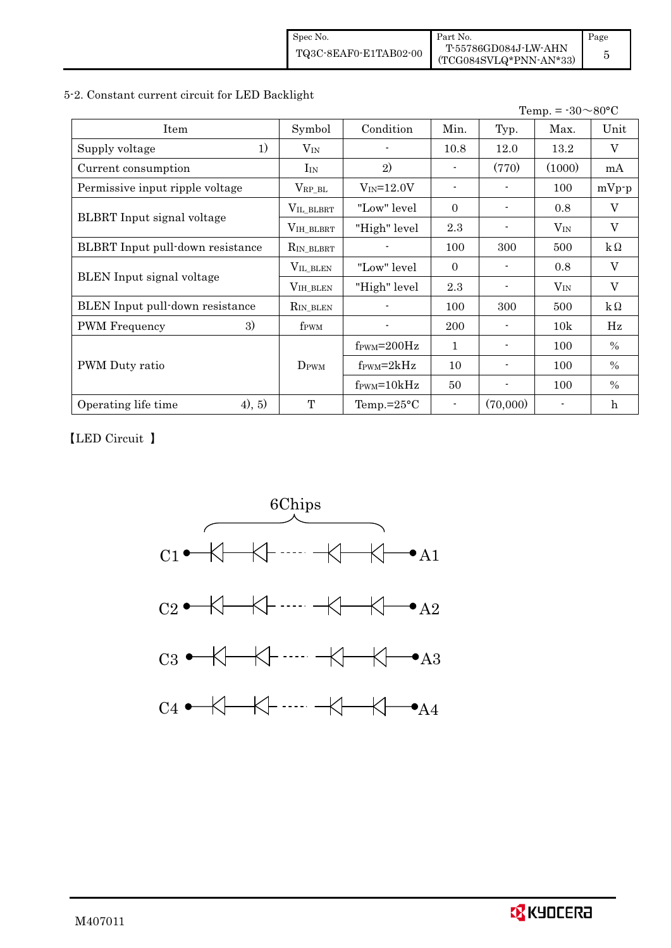| Spec No.              | Part No.                                       | Page |
|-----------------------|------------------------------------------------|------|
| TQ3C-8EAF0-E1TAB02-00 | T-55786GD084J-LW-AHN<br>(TCG084SVLQ*PNN-AN*33) |      |

### 5-2. Constant current circuit for LED Backlight

 $Temp = -30 \sim 80^{\circ}C$ 

|                                   |                     |                               |              |          | $1 \text{cm}$ . – $\omega$ | vv v            |
|-----------------------------------|---------------------|-------------------------------|--------------|----------|----------------------------|-----------------|
| Item                              | Symbol              | Condition                     | Min.         | Typ.     | Max.                       | Unit            |
| 1)<br>Supply voltage              | $V_{IN}$            |                               | 10.8         | 12.0     | 13.2                       | V               |
| Current consumption               | $I_{IN}$            | 2)                            |              | (770)    | (1000)                     | mA              |
| Permissive input ripple voltage   | $V_{RP\_BL}$        | $V_{IN} = 12.0V$              |              |          | 100                        | $mVp-p$         |
|                                   | VIL_BLBRT           | "Low" level                   | $\Omega$     |          | 0.8                        | V               |
| <b>BLBRT</b> Input signal voltage | $\rm V_{IH\_BLBRT}$ | "High" level                  | 2.3          |          | $V_{\rm IN}$               | $\mathbf{V}$    |
| BLBRT Input pull-down resistance  | $R_{IN\_BLBRT}$     |                               | 100          | 300      | 500                        | $\rm k\,\Omega$ |
|                                   | VIL_BLEN            | "Low" level"                  | $\Omega$     |          | 0.8                        | $\rm V$         |
| BLEN Input signal voltage         | VIH_BLEN            | "High" level                  | 2.3          |          | $V_{IN}$                   | $\overline{V}$  |
| BLEN Input pull-down resistance   | $R_{IN\_BLEN}$      |                               | 100          | 300      | 500                        | $k\Omega$       |
| <b>PWM</b> Frequency<br>3)        | f <sub>PWM</sub>    |                               | 200          |          | 10k                        | Hz              |
|                                   |                     | $f_{\rm PWM} = 200 \text{Hz}$ | $\mathbf{1}$ |          | 100                        | $\frac{0}{0}$   |
| PWM Duty ratio                    | D <sub>PWM</sub>    | $f_{\text{PWM}}=2kHz$         | 10           |          | 100                        | $\%$            |
|                                   |                     | $f_{\text{PWM}} = 10kHz$      | 50           |          | 100                        | $\frac{0}{0}$   |
| 4), 5)<br>Operating life time     | T                   | Temp.= $25^{\circ}$ C         |              | (70,000) |                            | $\mathbf h$     |
|                                   |                     |                               |              |          |                            |                 |

LED Circuit

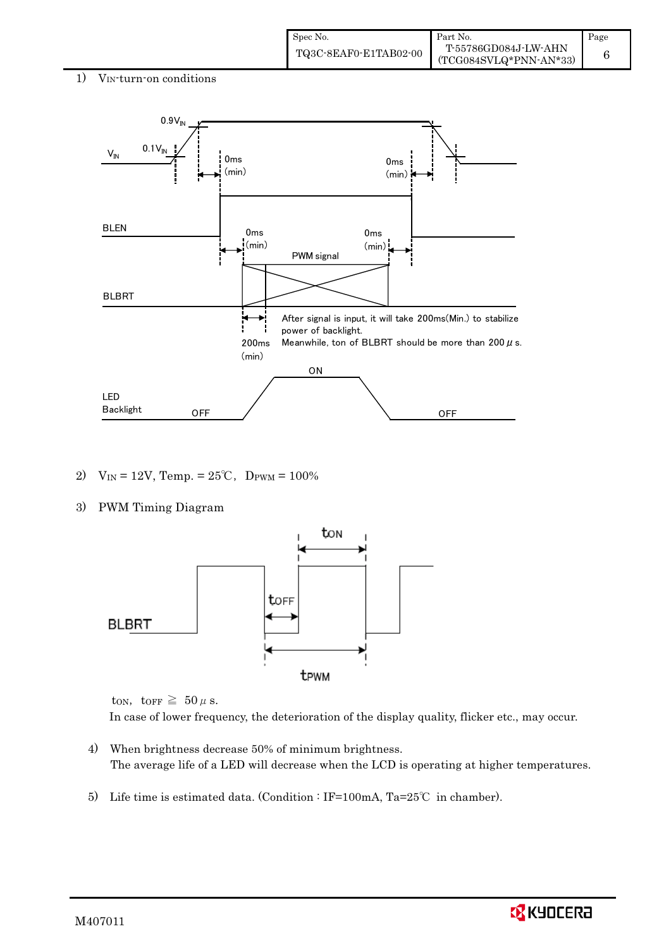

- 2)  $V_{IN} = 12V$ , Temp. =  $25^{\circ}$ C, D<sub>PWM</sub> = 100%
- 3) PWM Timing Diagram



ton, torr  $\geq 50 \mu$  s.

In case of lower frequency, the deterioration of the display quality, flicker etc., may occur.

- 4) When brightness decrease 50% of minimum brightness. The average life of a LED will decrease when the LCD is operating at higher temperatures.
- 5) Life time is estimated data. (Condition : IF=100mA, Ta=25°C in chamber).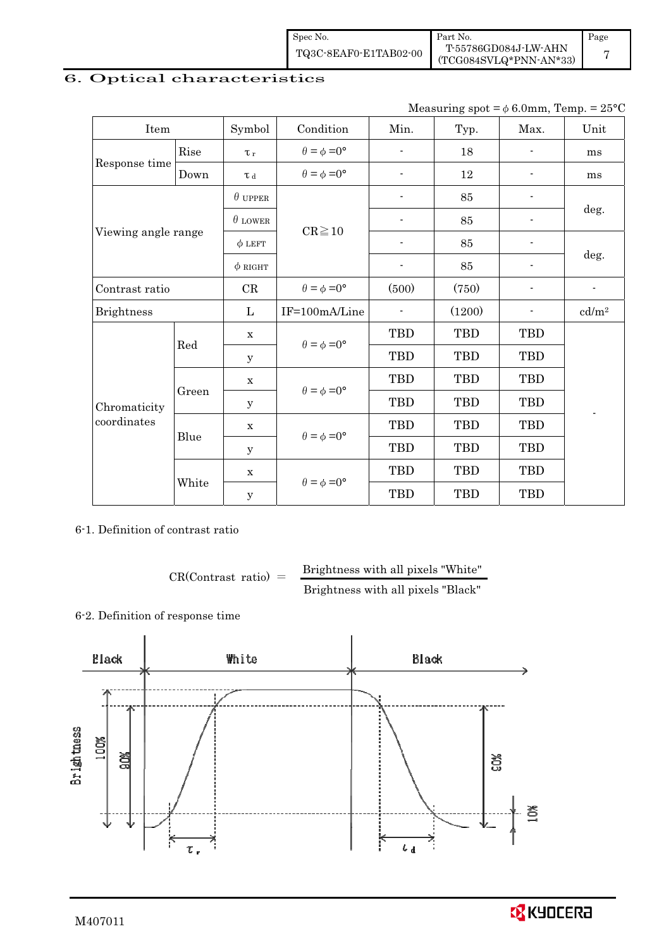| Spec No.              | Part No.                                       | Page |
|-----------------------|------------------------------------------------|------|
| TQ3C-8EAF0-E1TAB02-00 | T-55786GD084J-LW-AHN<br>(TCG084SVLQ*PNN-AN*33) |      |

# 6. Optical characteristics -

Measuring spot =  $\phi$  6.0mm, Temp. = 25°C

| Item                |       | Symbol              | Condition                   | Min.                     | Typ.       | Max.                     | Unit                     |
|---------------------|-------|---------------------|-----------------------------|--------------------------|------------|--------------------------|--------------------------|
|                     | Rise  | $\tau_r$            | $\theta = \phi = 0^{\circ}$ | $\overline{\phantom{a}}$ | 18         | $\overline{\phantom{a}}$ | ms                       |
| Response time       | Down  | $\tau$ <sub>d</sub> | $\theta = \phi = 0^{\circ}$ | $\blacksquare$           | 12         |                          | ms                       |
|                     |       | $\theta$ upper      |                             |                          | 85         |                          |                          |
|                     |       | $\theta$ LOWER      | $CR \ge 10$                 |                          | 85         |                          | deg.                     |
| Viewing angle range |       | $\phi$ LEFT         |                             |                          | 85         |                          | deg.                     |
|                     |       | $\phi$ RIGHT        |                             | $\overline{\phantom{a}}$ | 85         | $\overline{\phantom{a}}$ |                          |
| Contrast ratio      |       | CR                  | $\theta = \phi = 0^{\circ}$ | (500)                    | (750)      |                          | $\overline{\phantom{a}}$ |
| <b>Brightness</b>   |       | L                   | IF=100mA/Line               |                          | (1200)     |                          | cd/m <sup>2</sup>        |
|                     | Red   | $\mathbf X$         | $\theta = \phi = 0^{\circ}$ | TBD                      | <b>TBD</b> | <b>TBD</b>               |                          |
|                     |       | у                   |                             | <b>TBD</b>               | <b>TBD</b> | <b>TBD</b>               |                          |
|                     |       | $\mathbf X$         |                             | <b>TBD</b>               | <b>TBD</b> | <b>TBD</b>               |                          |
| Chromaticity        | Green | $\mathbf y$         | $\theta = \phi = 0^{\circ}$ | <b>TBD</b>               | <b>TBD</b> | <b>TBD</b>               |                          |
| coordinates         |       | $\mathbf X$         |                             | TBD                      | TBD        | <b>TBD</b>               |                          |
|                     | Blue  | $\mathbf y$         | $\theta = \phi = 0^{\circ}$ | TBD                      | <b>TBD</b> | <b>TBD</b>               |                          |
|                     |       | $\mathbf X$         |                             | <b>TBD</b>               | <b>TBD</b> | <b>TBD</b>               |                          |
|                     | White | $\mathbf y$         | $\theta = \phi = 0^{\circ}$ | <b>TBD</b>               | <b>TBD</b> | <b>TBD</b>               |                          |

6-1. Definition of contrast ratio

 $CR(Contrast ratio) =$  Brightness with all pixels "White" Brightness with all pixels "Black"

### 6-2. Definition of response time



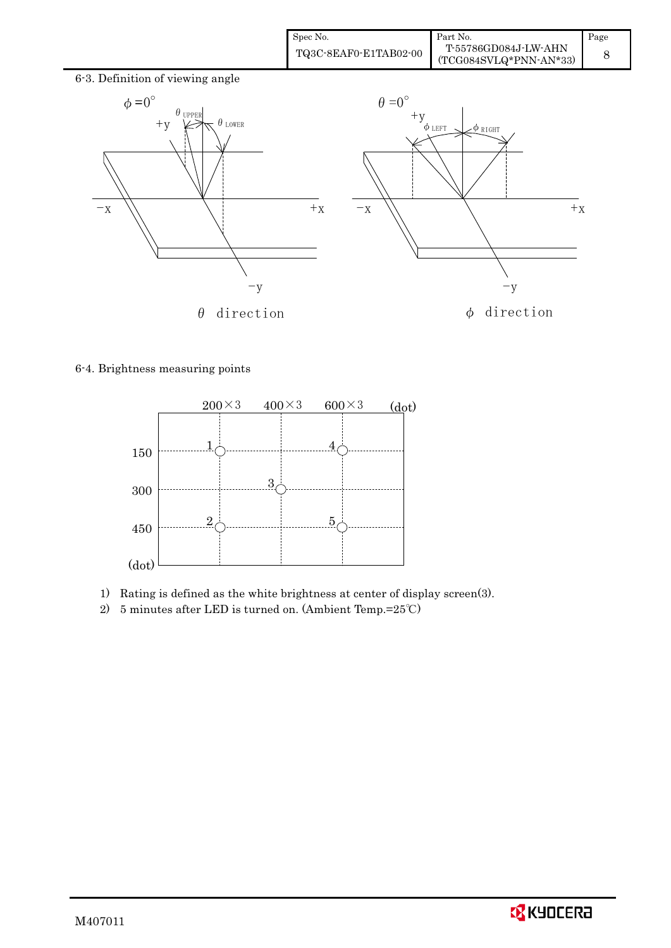| Spec No.              | Part No.                                       | Page |
|-----------------------|------------------------------------------------|------|
| TQ3C-8EAF0-E1TAB02-00 | T-55786GD084J-LW-AHN<br>(TCG084SVLQ*PNN-AN*33) |      |



### 6-4. Brightness measuring points



- 1) Rating is defined as the white brightness at center of display screen(3).<br>2) 5 minutes after LED is turned on. (Ambient Temp.=25°C)
- 

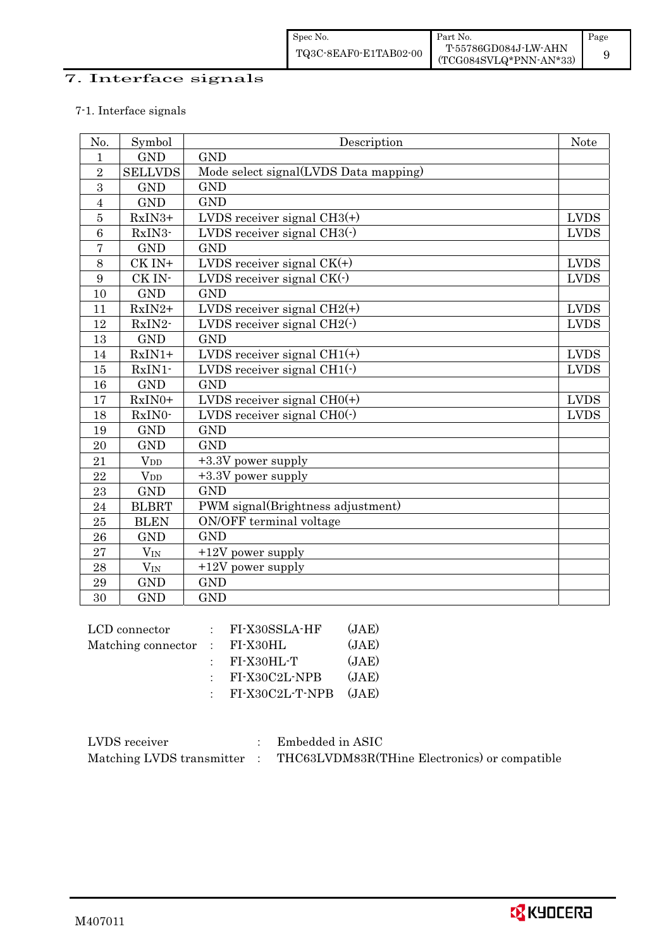| Spec No.              | Part No.                                       | Page |
|-----------------------|------------------------------------------------|------|
| TQ3C-8EAF0-E1TAB02-00 | T-55786GD084J-LW-AHN<br>(TCG084SVLQ*PNN-AN*33) |      |

### 7. Interface signals

### 7-1. Interface signals

| No.              | Symbol                  | Description                                   | <b>Note</b>  |
|------------------|-------------------------|-----------------------------------------------|--------------|
| $\mathbf{1}$     | <b>GND</b>              | <b>GND</b>                                    |              |
| $\overline{2}$   | <b>SELLVDS</b>          | Mode select signal(LVDS Data mapping)         |              |
| $\overline{3}$   | <b>GND</b>              | <b>GND</b>                                    |              |
| $\overline{4}$   | <b>GND</b>              | <b>GND</b>                                    |              |
| $\overline{5}$   | RxIN3+                  | LVDS receiver signal $CH3(+)$                 | <b>LVDS</b>  |
| $\boldsymbol{6}$ | RxIN3-                  | LVDS receiver signal $CH3()$                  | <b>LVDS</b>  |
| $\overline{7}$   | <b>GND</b>              | <b>GND</b>                                    |              |
| 8                | CK IN+                  | LVDS receiver signal $CK(+)$                  | ${\rm LVDS}$ |
| $\boldsymbol{9}$ | CK IN-                  | LVDS receiver signal CK(-)                    | <b>LVDS</b>  |
| 10               | <b>GND</b>              | <b>GND</b>                                    |              |
| 11               | $RxIN2+$                | LVDS receiver signal $CH2(+)$                 | <b>LVDS</b>  |
| 12               | RxIN2-                  | LVDS receiver signal $CH2(\cdot)$             | <b>LVDS</b>  |
| 13               | <b>GND</b>              | <b>GND</b>                                    |              |
| 14               | $RxIN1+$                | LVDS receiver signal $CH1(+)$                 | <b>LVDS</b>  |
| 15               | RxIN1-                  | LVDS receiver signal CH $\overline{1(\cdot)}$ | <b>LVDS</b>  |
| 16               | <b>GND</b>              | <b>GND</b>                                    |              |
| 17               | RxIN0+                  | LVDS receiver signal $CHO(+)$                 | <b>LVDS</b>  |
| 18               | RxIN0-                  | LVDS receiver signal $CHO(·)$                 | <b>LVDS</b>  |
| 19               | <b>GND</b>              | <b>GND</b>                                    |              |
| 20               | <b>GND</b>              | <b>GND</b>                                    |              |
| 21               | $V_{DD}$                | +3.3V power supply                            |              |
| 22               | $V_{DD}$                | +3.3V power supply                            |              |
| 23               | $\mathop{\mathrm{GND}}$ | <b>GND</b>                                    |              |
| 24               | <b>BLBRT</b>            | PWM signal(Brightness adjustment)             |              |
| 25               | <b>BLEN</b>             | ON/OFF terminal voltage                       |              |
| 26               | <b>GND</b>              | <b>GND</b>                                    |              |
| 27               | $V_{IN}$                | +12V power supply                             |              |
| 28               | $V_{IN}$                | +12V power supply                             |              |
| $\bf 29$         | <b>GND</b>              | <b>GND</b>                                    |              |
| 30               | <b>GND</b>              | <b>GND</b>                                    |              |
|                  | LCD connector           | (IAF)<br>$\cdot$ FI-Y30SSLA-HF                |              |

| UV | ◡                  | <u>.</u> |                       |       |
|----|--------------------|----------|-----------------------|-------|
|    |                    |          |                       |       |
|    | LCD connector      |          | FI-X30SSLA-HF         | (JAE) |
|    | Matching connector |          | $\therefore$ FI-X30HL | (JAE) |
|    |                    |          | FI-X30HL-T            | (JAE) |
|    |                    |          | FI-X30C2L-NPB         | (JAE) |
|    |                    |          | $:$ FI-X30C2L-T-NPB   | (JAE) |
|    |                    |          |                       |       |

| LVDS receiver | $\therefore$ Embedded in ASIC                                             |
|---------------|---------------------------------------------------------------------------|
|               | Matching LVDS transmitter : THC63LVDM83R(THine Electronics) or compatible |

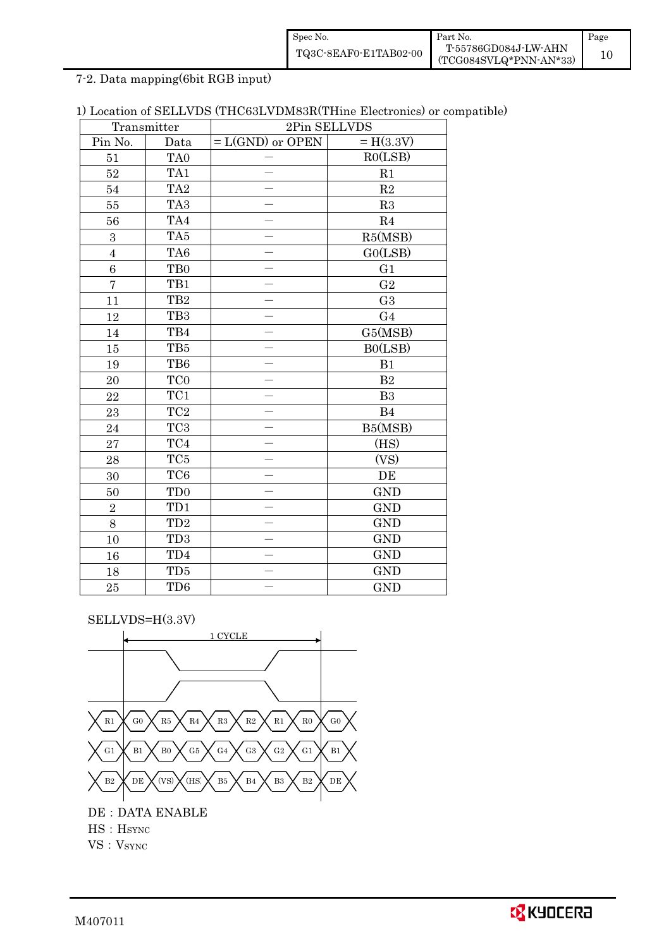| Spec No.              | Part No.                                       | Page |
|-----------------------|------------------------------------------------|------|
| TQ3C-8EAF0-E1TAB02-00 | T-55786GD084J-LW-AHN<br>(TCG084SVLQ*PNN-AN*33) |      |

7-2. Data mapping(6bit RGB input)

| 1) Location of SELLVDS (THC63LVDM83R(THine Electronics) or compatible) |  |
|------------------------------------------------------------------------|--|
|------------------------------------------------------------------------|--|

|                | Transmitter     | 2Pin SELLVDS             |                |
|----------------|-----------------|--------------------------|----------------|
| Pin No.        | Data            | $= L(GND)$ or OPEN       | $= H(3.3V)$    |
| 51             | TA <sub>0</sub> |                          | RO(LSB)        |
| 52             | TA1             |                          | R1             |
| 54             | TA <sub>2</sub> |                          | R2             |
| 55             | TA <sub>3</sub> | $\overline{\phantom{0}}$ | R3             |
| 56             | TA4             |                          | R <sub>4</sub> |
| 3              | TA5             |                          | R5(MSB)        |
| $\overline{4}$ | TA6             |                          | GO(LSB)        |
| 6              | TB <sub>0</sub> | $\overline{\phantom{0}}$ | G <sub>1</sub> |
| $\overline{7}$ | TB1             | $\overline{\phantom{0}}$ | G <sub>2</sub> |
| 11             | TB <sub>2</sub> |                          | G <sub>3</sub> |
| 12             | TB <sub>3</sub> |                          | G <sub>4</sub> |
| 14             | TB4             |                          | G5(MSB)        |
| 15             | TB5             |                          | B0(LSB)        |
| 19             | TB6             | $\equiv$                 | B1             |
| 20             | TC <sub>0</sub> | $\equiv$                 | B <sub>2</sub> |
| 22             | TC1             |                          | B3             |
| 23             | TC <sub>2</sub> | $\overline{\phantom{0}}$ | B <sub>4</sub> |
| 24             | TC <sub>3</sub> |                          | B5(MSB)        |
| 27             | TC4             |                          | (HS)           |
| 28             | TC <sub>5</sub> |                          | (VS)           |
| 30             | TC <sub>6</sub> |                          | DE             |
| 50             | TD <sub>0</sub> |                          | <b>GND</b>     |
| $\overline{2}$ | TD1             |                          | <b>GND</b>     |
| 8              | TD <sub>2</sub> |                          | <b>GND</b>     |
| 10             | TD <sub>3</sub> | $\overline{\phantom{0}}$ | <b>GND</b>     |
| 16             | TD4             |                          | <b>GND</b>     |
| 18             | TD <sub>5</sub> |                          | <b>GND</b>     |
| 25             | TD <sub>6</sub> |                          | <b>GND</b>     |

SELLVDS=H(3.3V)



 $\begin{aligned} & \text{HS}: \text{HSTNC} \\ & \text{VS}: \text{VSTNC} \end{aligned}$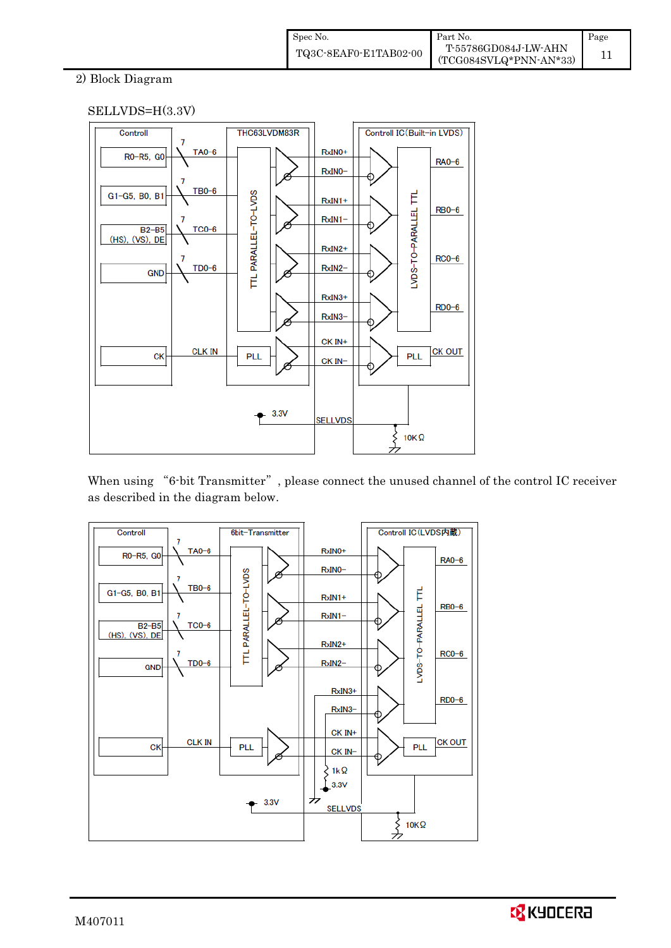### 2) Block Diagram



When using "6-bit Transmitter", please connect the unused channel of the control IC receiver as described in the diagram below.



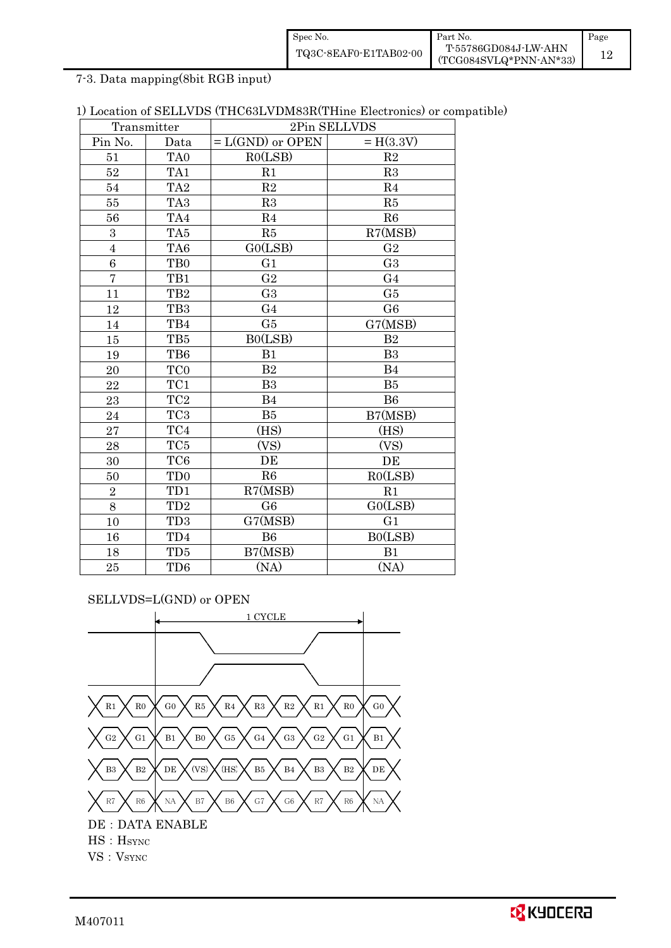| Spec No.              | Part No.                                         | Page |
|-----------------------|--------------------------------------------------|------|
| TQ3C-8EAF0-E1TAB02-00 | T-55786GD084J-LW-AHN<br>$(TCG084SVLQ*PNN-AN*33)$ |      |

7-3. Data mapping(8bit RGB input)

| 1) Location of SELLVDS (THC63LVDM83R(THine Electronics) or compatible) |  |
|------------------------------------------------------------------------|--|
|------------------------------------------------------------------------|--|

|                | Transmitter     | 2Pin SELLVDS       |                |
|----------------|-----------------|--------------------|----------------|
| Pin No.        | Data            | $= L(GND)$ or OPEN | $= H(3.3V)$    |
| 51             | TA <sub>0</sub> | RO(LSB)            | R <sub>2</sub> |
| 52             | TA <sub>1</sub> | R <sub>1</sub>     | R3             |
| 54             | TA <sub>2</sub> | R2                 | R <sub>4</sub> |
| 55             | TA <sub>3</sub> | R3                 | R5             |
| 56             | TA4             | R <sub>4</sub>     | R6             |
| $\mathbf{3}$   | TA <sub>5</sub> | R5                 | R7(MSB)        |
| $\overline{4}$ | TA6             | GO(LSB)            | G <sub>2</sub> |
| $\overline{6}$ | T <sub>B0</sub> | G <sub>1</sub>     | G <sub>3</sub> |
| $\overline{7}$ | TB1             | G <sub>2</sub>     | G <sub>4</sub> |
| 11             | TB <sub>2</sub> | G <sub>3</sub>     | G <sub>5</sub> |
| 12             | TB <sub>3</sub> | G <sub>4</sub>     | G <sub>6</sub> |
| 14             | TB4             | G5                 | G7(MSB)        |
| 15             | TB <sub>5</sub> | B0(LSB)            | B <sub>2</sub> |
| 19             | TB6             | B1                 | B <sub>3</sub> |
| 20             | TC <sub>0</sub> | B <sub>2</sub>     | <b>B4</b>      |
| 22             | TC1             | B <sub>3</sub>     | B <sub>5</sub> |
| 23             | $\rm TC2$       | B <sub>4</sub>     | <b>B6</b>      |
| 24             | TC <sub>3</sub> | B <sub>5</sub>     | B7(MSB)        |
| 27             | TC4             | (HS)               | (HS)           |
| 28             | TC <sub>5</sub> | (VS)               | (VS)           |
| 30             | TC <sub>6</sub> | DE                 | DE             |
| 50             | TD <sub>0</sub> | R6                 | RO(LSB)        |
| $\,2$          | TD1             | R7(MSB)            | R1             |
| 8              | TD <sub>2</sub> | G <sub>6</sub>     | GO(LSB)        |
| 10             | TD <sub>3</sub> | G7(MSB)            | G <sub>1</sub> |
| 16             | TD4             | <b>B6</b>          | BO(LSB)        |
| 18             | TD <sub>5</sub> | B7(MSB)            | B1             |
| 25             | TD6             | (NA)               | (NA)           |

SELLVDS=L(GND) or OPEN

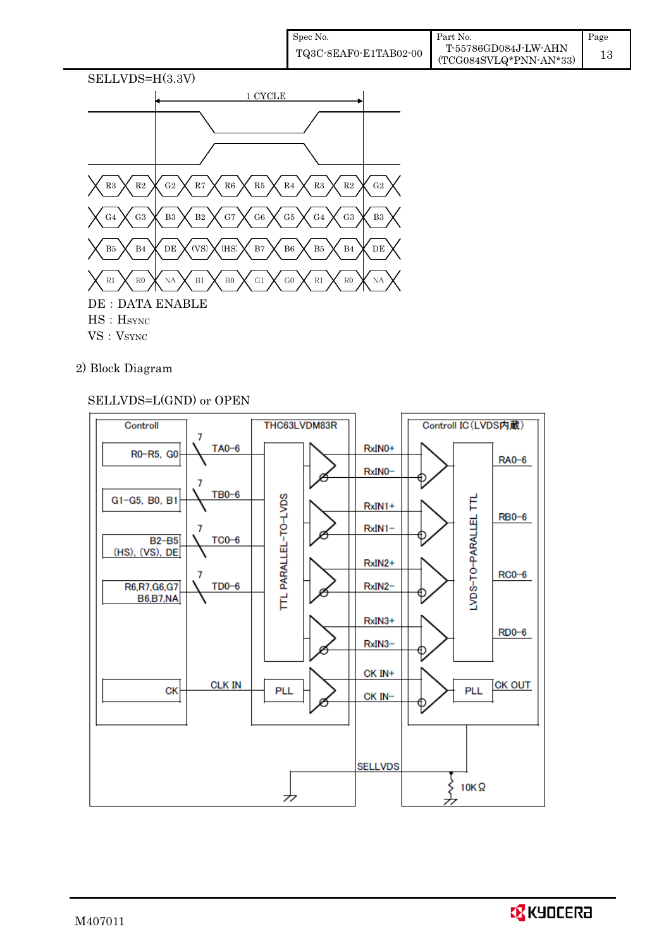| Spec No.              | Part No.                                       | Page |
|-----------------------|------------------------------------------------|------|
| TQ3C-8EAF0-E1TAB02-00 | T-55786GD084J-LW-AHN<br>(TCG084SVLQ*PNN-AN*33) |      |



- 
- 2) Block Diagram

### SELLVDS=L(GND) or OPEN



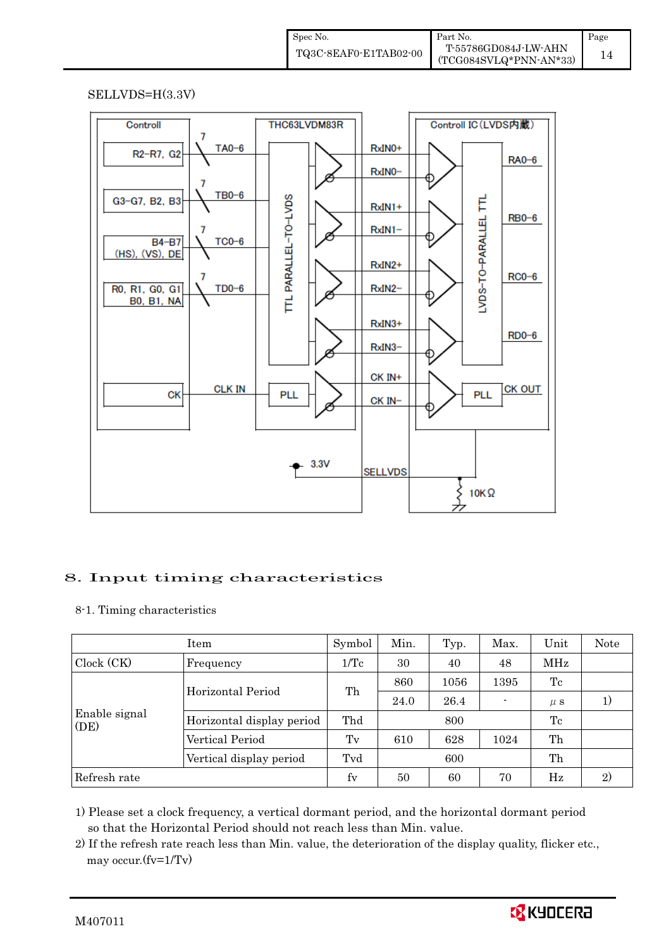| Spec No.              | Part No.                 | Page |
|-----------------------|--------------------------|------|
| TQ3C-8EAF0-E1TAB02-00 | T-55786GD084J-LW-AHN     |      |
|                       | $(TCG084SVLQ*PNN-AN*33)$ |      |

#### SELLVDS=H(3.3V)



### 8. Input timing characteristics  $\overline{a}$

8-1. Timing characteristics

|                         | Item                      | Symbol          | Min. | Typ. | Max. | Unit    | Note |
|-------------------------|---------------------------|-----------------|------|------|------|---------|------|
| Clock (CK)<br>Frequency |                           | $1/\mathrm{Tc}$ | 30   | 40   | 48   | MHz     |      |
|                         | Horizontal Period         | Th              | 860  | 1056 | 1395 | Tc      |      |
|                         |                           |                 | 24.0 | 26.4 |      | $\mu$ s | 1)   |
| Enable signal<br>(DE)   | Horizontal display period | Thd             |      | 800  |      | Tc      |      |
|                         | Vertical Period           | $T_{V}$         | 610  | 628  | 1024 | Th      |      |
|                         | Vertical display period   | Tvd             |      | 600  |      | Th      |      |
| Refresh rate            |                           | fy              | 50   | 60   | 70   | Hz      | 2)   |

1) Please set a clock frequency, a vertical dormant period, and the horizontal dormant period so that the Horizontal Period should not reach less than Min. value.

2) If the refresh rate reach less than Min. value, the deterioration of the display quality, flicker etc., may occur.(fv=1/Tv)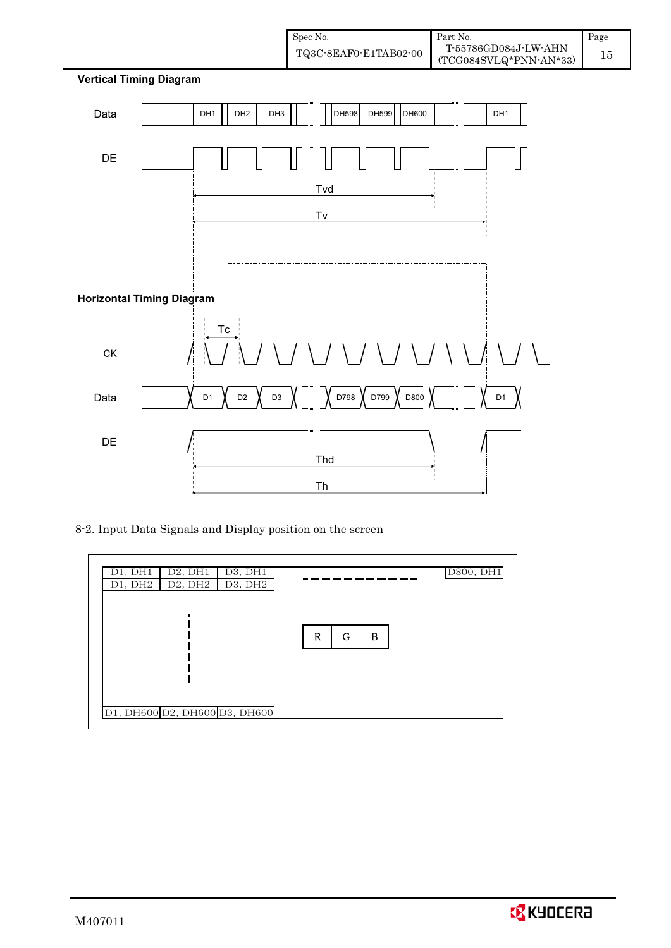



8-2. Input Data Signals and Display position on the screen

![](_page_17_Figure_3.jpeg)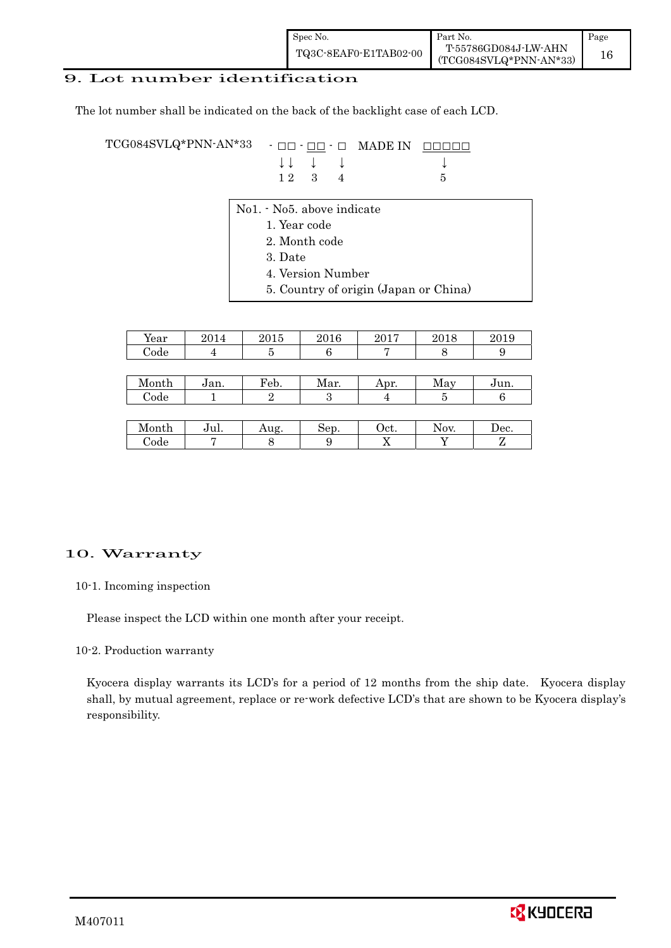| Spec No.              | Part No.                                         | Page |
|-----------------------|--------------------------------------------------|------|
| TQ3C-8EAF0-E1TAB02-00 | T-55786GD084J-LW-AHN<br>$(TCG084SVLQ*PNN-AN*33)$ |      |

### 9. Lot number identification

The lot number shall be indicated on the back of the backlight case of each LCD.

 $\begin{array}{ccccccccc} \text{TCG084SVLQ*PNN-AN*33} & - & \text{or} & \text{max} & \text{max} & \text{max} & \text{max} & \text{max} & \text{max} & \text{max} & \text{max} & \text{max} & \text{max} & \text{max} & \text{max} & \text{max} & \text{max} & \text{max} & \text{max} & \text{max} & \text{max} & \text{max} & \text{max} & \text{max} & \text{max} & \text{max} & \text{max} & \text{max} & \text{max} & \text{max} & \text{max} & \text{max} & \text{max} & \text{$ ا<br>|<br>|  $\downarrow \downarrow \quad \downarrow \quad \downarrow \qquad \qquad \downarrow$ 1 2 3 4 5

- No1. No5. above indicate
	- 1. Year code
		- 2. Month code
		- 3. Date
		- 4. Version Number
		- 5. Country of origin (Japan or China)

| Year  | 2014 | 2015 | 2016 | 2017 | 2018         | 2019 |
|-------|------|------|------|------|--------------|------|
| Code  |      | 5    | 6    |      | Ω            |      |
|       |      |      |      |      |              |      |
| Month | Jan. | Feb. | Mar. | Apr. | May          | Jun. |
| Code  |      | 2    | 3    |      | $\mathbf{5}$ |      |
|       |      |      |      |      |              |      |
| Month | Jul. | Aug. | Sep. | Oct. | Nov.         | Dec. |

Code 7 8 9 X Y Z

### 10. Warranty

10-1. Incoming inspection

Please inspect the LCD within one month after your receipt.

10-2. Production warranty

 Kyocera display warrants its LCD's for a period of 12 months from the ship date. Kyocera display shall, by mutual agreement, replace or re-work defective LCD's that are shown to be Kyocera display's responsibility.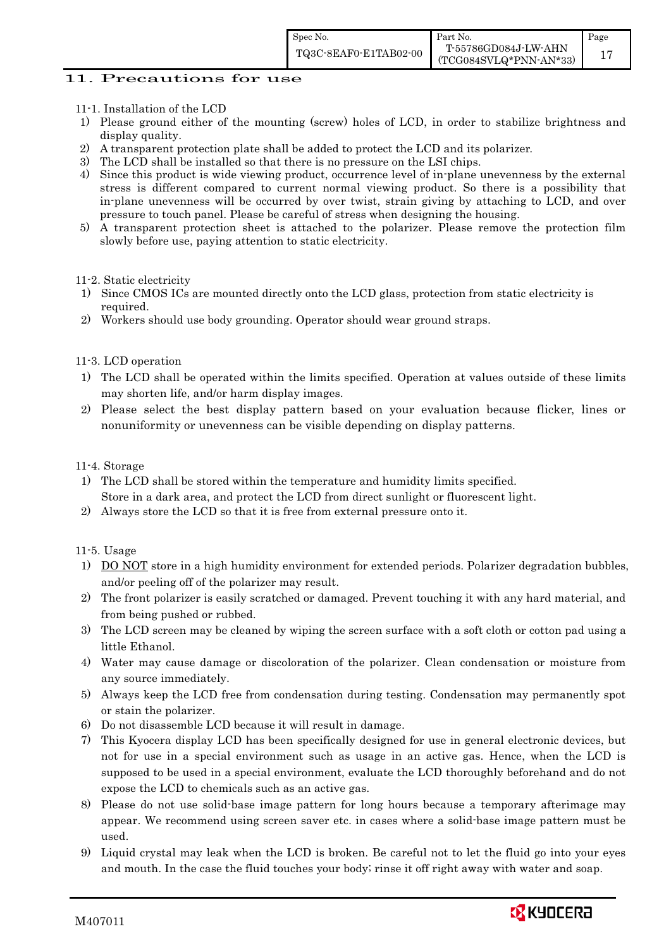### 11. Precautions for use

- 11-1. Installation of the LCD
- 1) Please ground either of the mounting (screw) holes of LCD, in order to stabilize brightness and display quality.
- 2) A transparent protection plate shall be added to protect the LCD and its polarizer.
- 3) The LCD shall be installed so that there is no pressure on the LSI chips.
- 4) Since this product is wide viewing product, occurrence level of in-plane unevenness by the external stress is different compared to current normal viewing product. So there is a possibility that in-plane unevenness will be occurred by over twist, strain giving by attaching to LCD, and over pressure to touch panel. Please be careful of stress when designing the housing.
- 5) A transparent protection sheet is attached to the polarizer. Please remove the protection film slowly before use, paying attention to static electricity.

11-2. Static electricity

- 1) Since CMOS ICs are mounted directly onto the LCD glass, protection from static electricity is required.
- 2) Workers should use body grounding. Operator should wear ground straps.

### 11-3. LCD operation

- 1) The LCD shall be operated within the limits specified. Operation at values outside of these limits may shorten life, and/or harm display images.
- 2) Please select the best display pattern based on your evaluation because flicker, lines or nonuniformity or unevenness can be visible depending on display patterns.

### 11-4. Storage

- 1) The LCD shall be stored within the temperature and humidity limits specified. Store in a dark area, and protect the LCD from direct sunlight or fluorescent light.
- 2) Always store the LCD so that it is free from external pressure onto it.

### 11-5. Usage

- 1) DO NOT store in a high humidity environment for extended periods. Polarizer degradation bubbles, and/or peeling off of the polarizer may result.
- 2) The front polarizer is easily scratched or damaged. Prevent touching it with any hard material, and from being pushed or rubbed.
- 3) The LCD screen may be cleaned by wiping the screen surface with a soft cloth or cotton pad using a little Ethanol.
- 4) Water may cause damage or discoloration of the polarizer. Clean condensation or moisture from any source immediately.
- 5) Always keep the LCD free from condensation during testing. Condensation may permanently spot or stain the polarizer.
- 6) Do not disassemble LCD because it will result in damage.
- 7) This Kyocera display LCD has been specifically designed for use in general electronic devices, but not for use in a special environment such as usage in an active gas. Hence, when the LCD is supposed to be used in a special environment, evaluate the LCD thoroughly beforehand and do not expose the LCD to chemicals such as an active gas.
- 8) Please do not use solid-base image pattern for long hours because a temporary afterimage may appear. We recommend using screen saver etc. in cases where a solid-base image pattern must be used.
- 9) Liquid crystal may leak when the LCD is broken. Be careful not to let the fluid go into your eyes and mouth. In the case the fluid touches your body; rinse it off right away with water and soap.

![](_page_19_Picture_28.jpeg)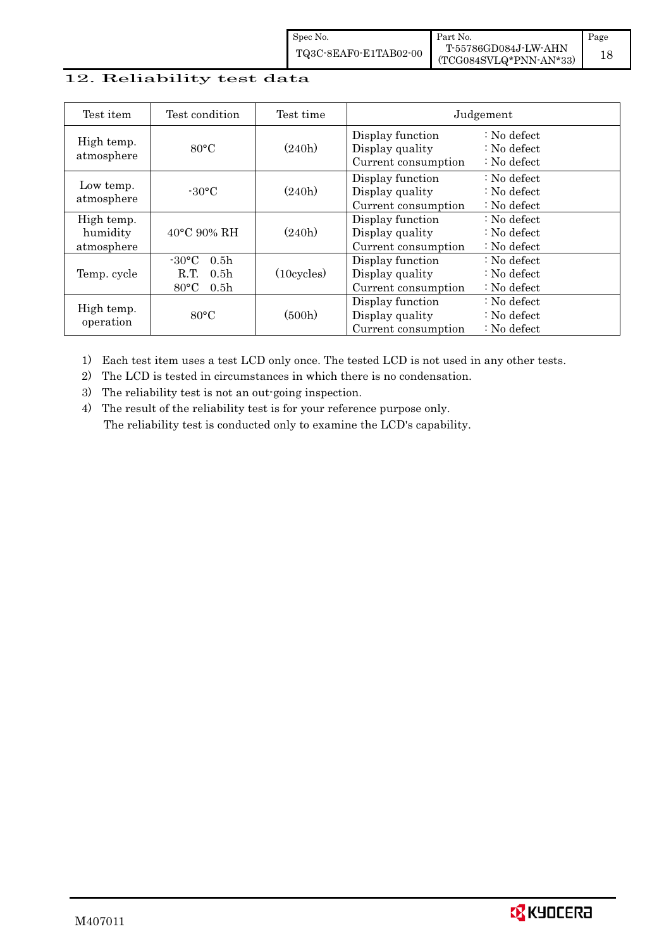| Spec No.              | ∎ Part No.                                       | Page |
|-----------------------|--------------------------------------------------|------|
| TQ3C-8EAF0-E1TAB02-00 | T-55786GD084J-LW-AHN<br>$(TCG084SVLQ*PNN-AN*33)$ |      |

### 12. Reliability test data ا<br>م<br>م

| Test item                            | Test condition                                                                                        | Test time            |                                                            | Judgement                                                                  |
|--------------------------------------|-------------------------------------------------------------------------------------------------------|----------------------|------------------------------------------------------------|----------------------------------------------------------------------------|
| High temp.<br>atmosphere             | $80^{\circ}$ C                                                                                        |                      | Display function<br>Display quality<br>Current consumption | $\therefore$ No defect<br>$\therefore$ No defect<br>$\therefore$ No defect |
| Low temp.<br>atmosphere              | $-30^{\circ}$ C                                                                                       | (240h)               | Display function<br>Display quality<br>Current consumption | $\therefore$ No defect<br>$\therefore$ No defect<br>$\therefore$ No defect |
| High temp.<br>humidity<br>atmosphere | 40°C 90% RH                                                                                           | (240h)               | Display function<br>Display quality<br>Current consumption | $: No$ defect<br>$\therefore$ No defect<br>$\therefore$ No defect          |
| Temp. cycle                          | $-30^{\circ}$ C<br>0.5 <sub>h</sub><br>0.5 <sub>h</sub><br>R.T.<br>$80^{\circ}$ C<br>0.5 <sub>h</sub> | $(10 \text{cycles})$ | Display function<br>Display quality<br>Current consumption | $\therefore$ No defect<br>$\therefore$ No defect<br>$\therefore$ No defect |
| High temp.<br>operation              | $80^{\circ}$ C                                                                                        | (500h)               | Display function<br>Display quality<br>Current consumption | $\therefore$ No defect<br>$\therefore$ No defect<br>$\therefore$ No defect |

1) Each test item uses a test LCD only once. The tested LCD is not used in any other tests.

2) The LCD is tested in circumstances in which there is no condensation.

3) The reliability test is not an out-going inspection.

4) The result of the reliability test is for your reference purpose only.  $\int$ The reliability test is conducted only to examine the LCD's capability.

![](_page_20_Picture_7.jpeg)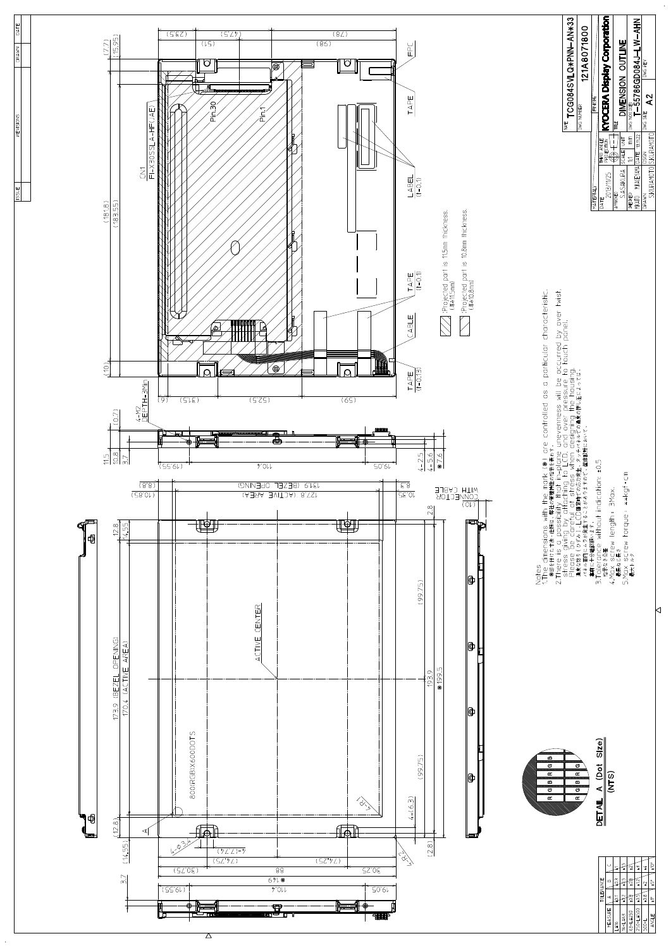![](_page_21_Figure_0.jpeg)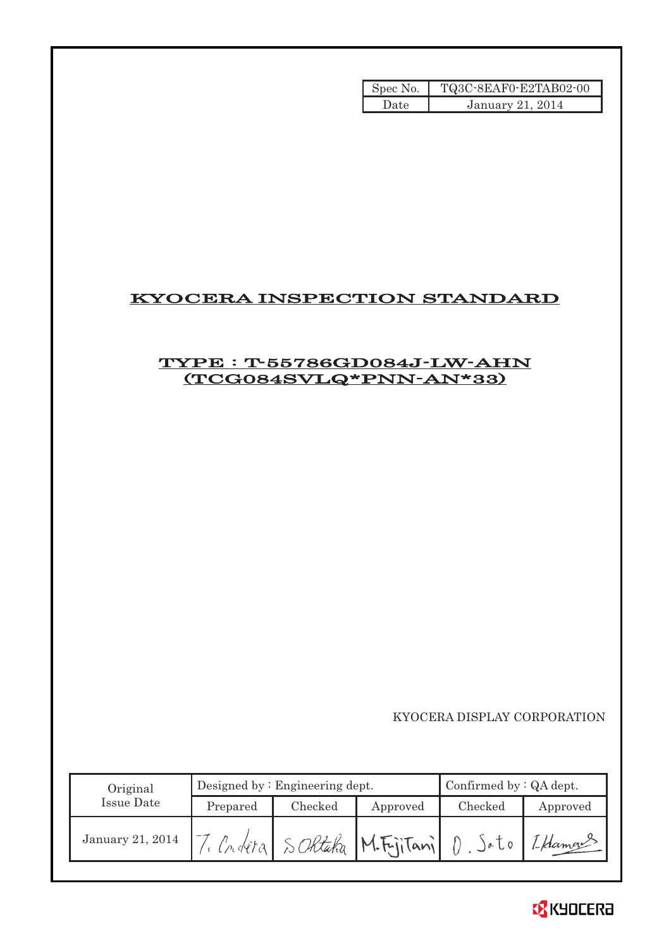| Spec No. | TQ3C-8EAF0-E2TAB02-00 |
|----------|-----------------------|
| Date     | January 21, 2014      |

### KYOCERA INSPECTION STANDARD

### TYPE : T-55786GD084J-LW-AHN (TCG084SVLQ\*PNN-AN\*33)

KYOCERA DISPLAY CORPORATION

| Original         | Designed by: $Engineering$ dept. |         |                              | Confirmed by $:QA$ dept. |          |
|------------------|----------------------------------|---------|------------------------------|--------------------------|----------|
| Issue Date       | Prepared                         | Checked | Approved                     | Checked                  | Approved |
| January 21, 2014 |                                  |         | Criteral SORtaka M.FijiTanil | a <sub>0</sub>           | 1-Haman  |

![](_page_22_Picture_5.jpeg)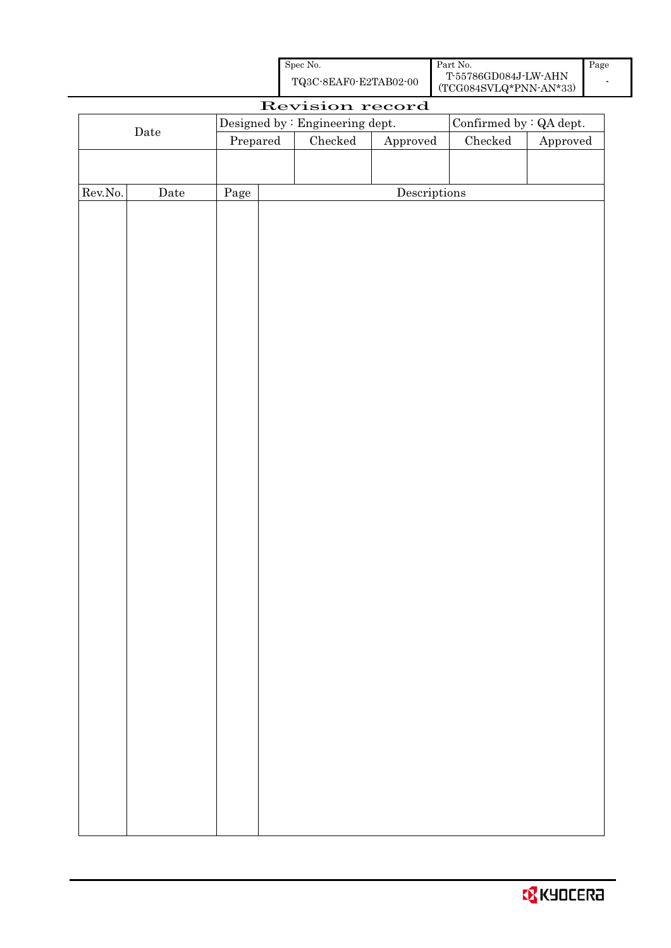| Spec No.              | Part No.                                       | Page |
|-----------------------|------------------------------------------------|------|
| TQ3C-8EAF0-E2TAB02-00 | T-55786GD084J-LW-AHN<br>(TCG084SVLQ*PNN-AN*33) |      |

| Revision record  |             |          |  |                                 |                        |                         |                        |
|------------------|-------------|----------|--|---------------------------------|------------------------|-------------------------|------------------------|
| $\rm{Date}$      |             |          |  | Designed by : Engineering dept. |                        | Confirmed by : QA dept. |                        |
|                  |             | Prepared |  | $\rm Checked$                   | ${\Large\bf Approved}$ | $\rm Checked$           | ${\Large\bf Approved}$ |
|                  |             |          |  |                                 |                        |                         |                        |
|                  |             |          |  |                                 |                        |                         |                        |
| ${\rm Rev. No.}$ | $\rm{Date}$ | Page     |  |                                 | Descriptions           |                         |                        |
|                  |             |          |  |                                 |                        |                         |                        |
|                  |             |          |  |                                 |                        |                         |                        |
|                  |             |          |  |                                 |                        |                         |                        |
|                  |             |          |  |                                 |                        |                         |                        |
|                  |             |          |  |                                 |                        |                         |                        |
|                  |             |          |  |                                 |                        |                         |                        |
|                  |             |          |  |                                 |                        |                         |                        |
|                  |             |          |  |                                 |                        |                         |                        |
|                  |             |          |  |                                 |                        |                         |                        |
|                  |             |          |  |                                 |                        |                         |                        |
|                  |             |          |  |                                 |                        |                         |                        |
|                  |             |          |  |                                 |                        |                         |                        |
|                  |             |          |  |                                 |                        |                         |                        |
|                  |             |          |  |                                 |                        |                         |                        |
|                  |             |          |  |                                 |                        |                         |                        |
|                  |             |          |  |                                 |                        |                         |                        |
|                  |             |          |  |                                 |                        |                         |                        |
|                  |             |          |  |                                 |                        |                         |                        |
|                  |             |          |  |                                 |                        |                         |                        |
|                  |             |          |  |                                 |                        |                         |                        |
|                  |             |          |  |                                 |                        |                         |                        |
|                  |             |          |  |                                 |                        |                         |                        |
|                  |             |          |  |                                 |                        |                         |                        |
|                  |             |          |  |                                 |                        |                         |                        |
|                  |             |          |  |                                 |                        |                         |                        |
|                  |             |          |  |                                 |                        |                         |                        |
|                  |             |          |  |                                 |                        |                         |                        |
|                  |             |          |  |                                 |                        |                         |                        |
|                  |             |          |  |                                 |                        |                         |                        |
|                  |             |          |  |                                 |                        |                         |                        |
|                  |             |          |  |                                 |                        |                         |                        |
|                  |             |          |  |                                 |                        |                         |                        |
|                  |             |          |  |                                 |                        |                         |                        |
|                  |             |          |  |                                 |                        |                         |                        |
|                  |             |          |  |                                 |                        |                         |                        |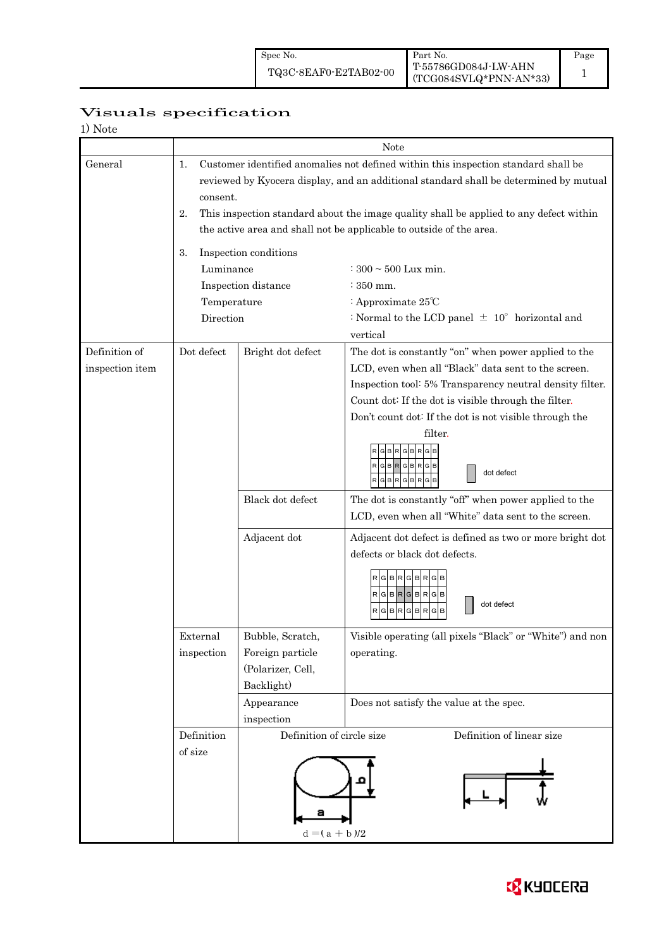## Visuals specification

| 1) Note                          |                                                                                                                                                                                                                                                                                                                                                                                                                                               |                                                                           |                                                                                                                                                                                                                                                                                                                                                                                                                                                                                                                                                                                                                                        |  |  |  |
|----------------------------------|-----------------------------------------------------------------------------------------------------------------------------------------------------------------------------------------------------------------------------------------------------------------------------------------------------------------------------------------------------------------------------------------------------------------------------------------------|---------------------------------------------------------------------------|----------------------------------------------------------------------------------------------------------------------------------------------------------------------------------------------------------------------------------------------------------------------------------------------------------------------------------------------------------------------------------------------------------------------------------------------------------------------------------------------------------------------------------------------------------------------------------------------------------------------------------------|--|--|--|
|                                  |                                                                                                                                                                                                                                                                                                                                                                                                                                               | Note                                                                      |                                                                                                                                                                                                                                                                                                                                                                                                                                                                                                                                                                                                                                        |  |  |  |
| General                          | Customer identified anomalies not defined within this inspection standard shall be<br>1.<br>reviewed by Kyocera display, and an additional standard shall be determined by mutual<br>consent.<br>This inspection standard about the image quality shall be applied to any defect within<br>2.<br>the active area and shall not be applicable to outside of the area.<br>Inspection conditions<br>3.<br>Luminance<br>$: 300 \sim 500$ Lux min. |                                                                           |                                                                                                                                                                                                                                                                                                                                                                                                                                                                                                                                                                                                                                        |  |  |  |
|                                  |                                                                                                                                                                                                                                                                                                                                                                                                                                               | Inspection distance                                                       | $\div$ 350 mm.                                                                                                                                                                                                                                                                                                                                                                                                                                                                                                                                                                                                                         |  |  |  |
|                                  | Temperature                                                                                                                                                                                                                                                                                                                                                                                                                                   |                                                                           | : Approximate 25°C                                                                                                                                                                                                                                                                                                                                                                                                                                                                                                                                                                                                                     |  |  |  |
|                                  | Direction                                                                                                                                                                                                                                                                                                                                                                                                                                     |                                                                           | : Normal to the LCD panel $\pm$ 10° horizontal and<br>vertical                                                                                                                                                                                                                                                                                                                                                                                                                                                                                                                                                                         |  |  |  |
| Definition of<br>inspection item | Dot defect                                                                                                                                                                                                                                                                                                                                                                                                                                    | Bright dot defect<br>Black dot defect<br>Adjacent dot                     | The dot is constantly "on" when power applied to the<br>LCD, even when all "Black" data sent to the screen.<br>Inspection tool: 5% Transparency neutral density filter.<br>Count dot: If the dot is visible through the filter.<br>Don't count dot: If the dot is not visible through the<br>filter.<br>RGBR<br><b>GBR</b><br>dot defect<br><b>RGBR</b><br>GBR<br>The dot is constantly "off" when power applied to the<br>LCD, even when all "White" data sent to the screen.<br>Adjacent dot defect is defined as two or more bright dot<br>defects or black dot defects.<br><b>RGBR</b><br>RGB<br>RGBRGBRGB<br>dot defect<br>R<br>G |  |  |  |
|                                  | External<br>inspection                                                                                                                                                                                                                                                                                                                                                                                                                        | Bubble, Scratch,<br>Foreign particle<br>(Polarizer, Cell,<br>Backlight)   | Visible operating (all pixels "Black" or "White") and non<br>operating.                                                                                                                                                                                                                                                                                                                                                                                                                                                                                                                                                                |  |  |  |
|                                  |                                                                                                                                                                                                                                                                                                                                                                                                                                               | Appearance<br>inspection                                                  | Does not satisfy the value at the spec.                                                                                                                                                                                                                                                                                                                                                                                                                                                                                                                                                                                                |  |  |  |
|                                  | Definition<br>of size                                                                                                                                                                                                                                                                                                                                                                                                                         | Definition of circle size<br>Definition of linear size<br>$d = (a + b)/2$ |                                                                                                                                                                                                                                                                                                                                                                                                                                                                                                                                                                                                                                        |  |  |  |

![](_page_24_Picture_5.jpeg)